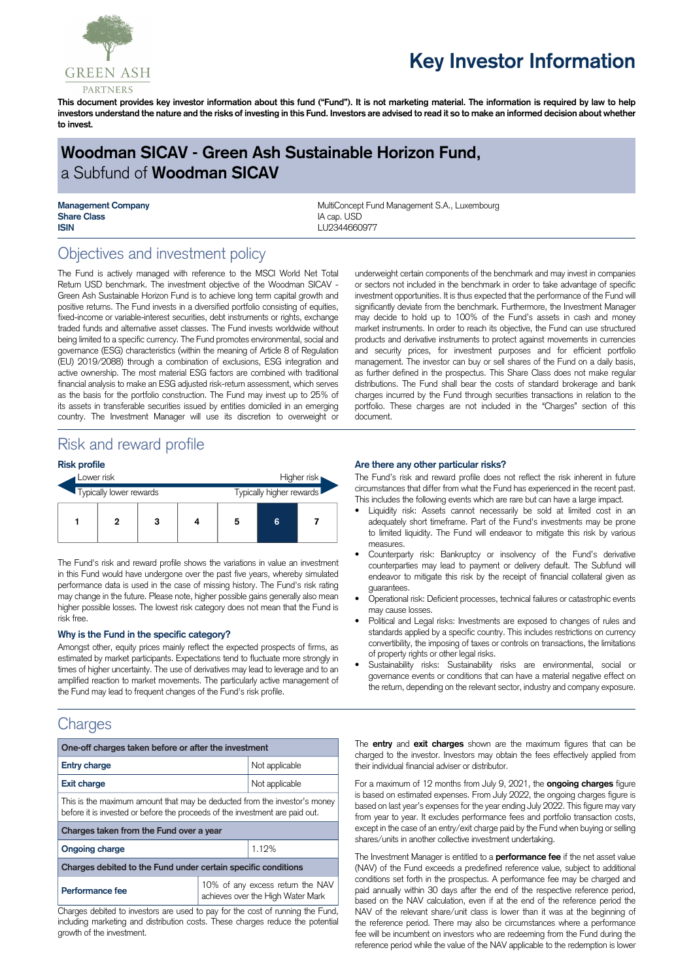

# **Key Investor Information**

This document provides key investor information about this fund ("Fund"). It is not marketing material. The information is required by law to help investors understand the nature and the risks of investing in this Fund. Investors are advised to read it so to make an informed decision about whether **to invest.**

# **Woodman SICAV - Green Ash Sustainable Horizon Fund,** a Subfund of **Woodman SICAV**

**Share Class** IA cap. USD **ISIN** LU2344660977

**Management Company MultiConcept Fund Management S.A., Luxembourg MultiConcept Fund Management S.A., Luxembourg** 

# Objectives and investment policy

The Fund is actively managed with reference to the MSCI World Net Total Return USD benchmark. The investment objective of the Woodman SICAV - Green Ash Sustainable Horizon Fund is to achieve long term capital growth and positive returns. The Fund invests in a diversified portfolio consisting of equities, fixed-income or variable-interest securities, debt instruments or rights, exchange traded funds and alternative asset classes. The Fund invests worldwide without being limited to a specific currency. The Fund promotes environmental, social and governance (ESG) characteristics (within the meaning of Article 8 of Regulation (EU) 2019/2088) through a combination of exclusions, ESG integration and active ownership. The most material ESG factors are combined with traditional financial analysis to make an ESG adjusted risk-return assessment, which serves as the basis for the portfolio construction. The Fund may invest up to 25% of its assets in transferable securities issued by entities domiciled in an emerging country. The Investment Manager will use its discretion to overweight or

underweight certain components of the benchmark and may invest in companies or sectors not included in the benchmark in order to take advantage of specific investment opportunities. It is thus expected that the performance of the Fund will significantly deviate from the benchmark. Furthermore, the Investment Manager may decide to hold up to 100% of the Fund's assets in cash and money market instruments. In order to reach its objective, the Fund can use structured products and derivative instruments to protect against movements in currencies and security prices, for investment purposes and for efficient portfolio management. The investor can buy or sell shares of the Fund on a daily basis, as further defined in the prospectus. This Share Class does not make regular distributions. The Fund shall bear the costs of standard brokerage and bank charges incurred by the Fund through securities transactions in relation to the portfolio. These charges are not included in the "Charges" section of this document.

## Risk and reward profile

### **Risk profile**



The Fund's risk and reward profile shows the variations in value an investment in this Fund would have undergone over the past five years, whereby simulated performance data is used in the case of missing history. The Fund's risk rating may change in the future. Please note, higher possible gains generally also mean higher possible losses. The lowest risk category does not mean that the Fund is risk free.

#### **Why is the Fund in the specific category?**

Amongst other, equity prices mainly reflect the expected prospects of firms, as estimated by market participants. Expectations tend to fluctuate more strongly in times of higher uncertainty. The use of derivatives may lead to leverage and to an amplified reaction to market movements. The particularly active management of the Fund may lead to frequent changes of the Fund's risk profile.

## **Charges**

| One-off charges taken before or after the investment                                                                                                      |                                                                       |
|-----------------------------------------------------------------------------------------------------------------------------------------------------------|-----------------------------------------------------------------------|
| <b>Entry charge</b>                                                                                                                                       | Not applicable                                                        |
| <b>Exit charge</b>                                                                                                                                        | Not applicable                                                        |
| This is the maximum amount that may be deducted from the investor's money<br>before it is invested or before the proceeds of the investment are paid out. |                                                                       |
| Charges taken from the Fund over a year                                                                                                                   |                                                                       |
| <b>Ongoing charge</b>                                                                                                                                     | 1.12%                                                                 |
| Charges debited to the Fund under certain specific conditions                                                                                             |                                                                       |
| Performance fee                                                                                                                                           | 10% of any excess return the NAV<br>achieves over the High Water Mark |
| Charges debited to investors are used to pay for the cost of running the Fund.                                                                            |                                                                       |

Charges debited to investors are used to pay for the cost of running the Fund, including marketing and distribution costs. These charges reduce the potential growth of the investment.

#### **Are there any other particular risks?**

The Fund's risk and reward profile does not reflect the risk inherent in future circumstances that differ from what the Fund has experienced in the recent past. This includes the following events which are rare but can have a large impact.

- Liquidity risk: Assets cannot necessarily be sold at limited cost in an adequately short timeframe. Part of the Fund's investments may be prone to limited liquidity. The Fund will endeavor to mitigate this risk by various measures.
- Counterparty risk: Bankruptcy or insolvency of the Fund's derivative counterparties may lead to payment or delivery default. The Subfund will endeavor to mitigate this risk by the receipt of financial collateral given as guarantees.
- Operational risk: Deficient processes, technical failures or catastrophic events may cause losses.
- Political and Legal risks: Investments are exposed to changes of rules and standards applied by a specific country. This includes restrictions on currency convertibility, the imposing of taxes or controls on transactions, the limitations of property rights or other legal risks.
- Sustainability risks: Sustainability risks are environmental, social or governance events or conditions that can have a material negative effect on the return, depending on the relevant sector, industry and company exposure.

The **entry** and **exit charges** shown are the maximum figures that can be charged to the investor. Investors may obtain the fees effectively applied from their individual financial adviser or distributor.

For a maximum of 12 months from July 9, 2021, the **ongoing charges** figure is based on estimated expenses. From July 2022, the ongoing charges figure is based on last year's expenses for the year ending July 2022. This figure may vary from year to year. It excludes performance fees and portfolio transaction costs, except in the case of an entry/exit charge paid by the Fund when buying or selling shares/units in another collective investment undertaking.

The Investment Manager is entitled to a **performance fee** if the net asset value (NAV) of the Fund exceeds a predefined reference value, subject to additional conditions set forth in the prospectus. A performance fee may be charged and paid annually within 30 days after the end of the respective reference period, based on the NAV calculation, even if at the end of the reference period the NAV of the relevant share/unit class is lower than it was at the beginning of the reference period. There may also be circumstances where a performance fee will be incumbent on investors who are redeeming from the Fund during the reference period while the value of the NAV applicable to the redemption is lower